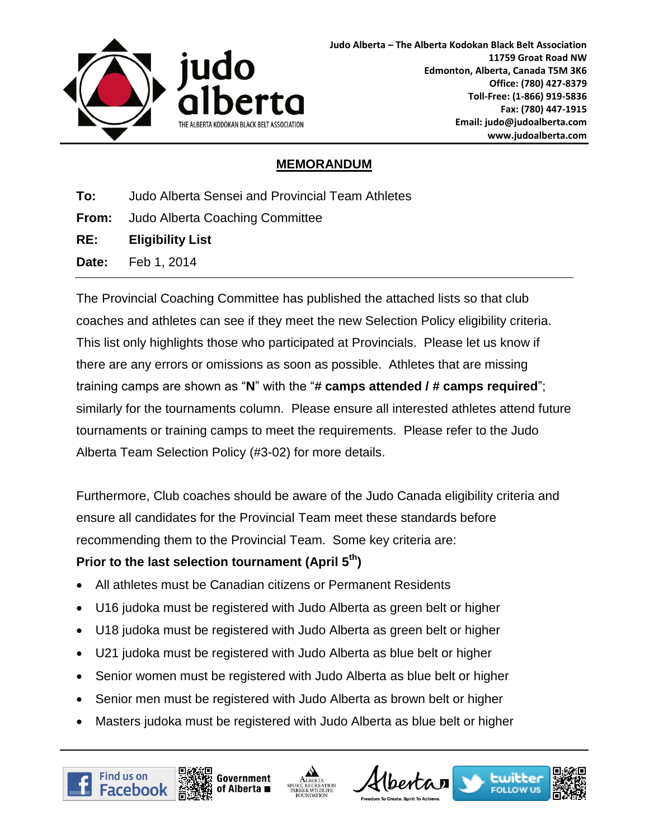

## **MEMORANDUM**

**To:** Judo Alberta Sensei and Provincial Team Athletes

**From:** Judo Alberta Coaching Committee

**RE: Eligibility List**

**Date:** Feb 1, 2014

The Provincial Coaching Committee has published the attached lists so that club coaches and athletes can see if they meet the new Selection Policy eligibility criteria. This list only highlights those who participated at Provincials. Please let us know if there are any errors or omissions as soon as possible. Athletes that are missing training camps are shown as "**N**" with the "**# camps attended / # camps required**"; similarly for the tournaments column. Please ensure all interested athletes attend future tournaments or training camps to meet the requirements. Please refer to the Judo Alberta Team Selection Policy (#3-02) for more details.

Furthermore, Club coaches should be aware of the Judo Canada eligibility criteria and ensure all candidates for the Provincial Team meet these standards before recommending them to the Provincial Team. Some key criteria are:

## **Prior to the last selection tournament (April 5th)**

- All athletes must be Canadian citizens or Permanent Residents
- U16 judoka must be registered with Judo Alberta as green belt or higher
- U18 judoka must be registered with Judo Alberta as green belt or higher
- U21 judoka must be registered with Judo Alberta as blue belt or higher
- Senior women must be registered with Judo Alberta as blue belt or higher
- Senior men must be registered with Judo Alberta as brown belt or higher
- Masters judoka must be registered with Judo Alberta as blue belt or higher